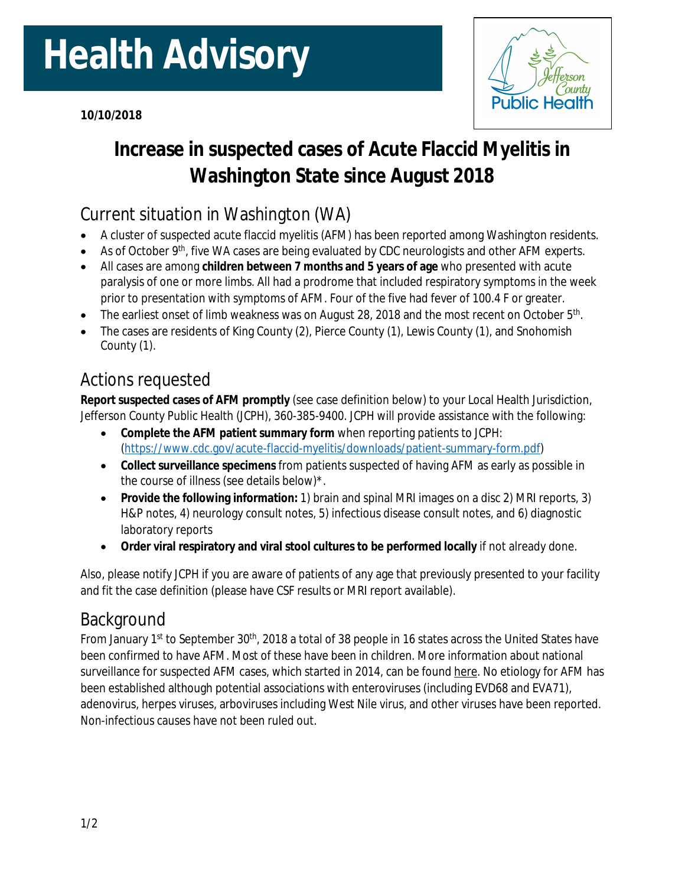# **Health Advisory**



## **Increase in suspected cases of Acute Flaccid Myelitis in Washington State since August 2018**

## Current situation in Washington (WA)

- A cluster of suspected acute flaccid myelitis (AFM) has been reported among Washington residents.
- As of October 9<sup>th</sup>, five WA cases are being evaluated by CDC neurologists and other AFM experts.
- All cases are among **children between 7 months and 5 years of age** who presented with acute paralysis of one or more limbs. All had a prodrome that included respiratory symptoms in the week prior to presentation with symptoms of AFM. Four of the five had fever of 100.4 F or greater.
- The earliest onset of limb weakness was on August 28, 2018 and the most recent on October 5<sup>th</sup>.
- The cases are residents of King County (2), Pierce County (1), Lewis County (1), and Snohomish County (1).

## Actions requested

**Report suspected cases of AFM promptly** (see case definition below) to your Local Health Jurisdiction, Jefferson County Public Health (JCPH), 360-385-9400. JCPH will provide assistance with the following:

- **Complete the AFM patient summary form** when reporting patients to JCPH: [\(https://www.cdc.gov/acute-flaccid-myelitis/downloads/patient-summary-form.pdf](https://www.cdc.gov/acute-flaccid-myelitis/downloads/patient-summary-form.pdf))
- **Collect surveillance specimens** from patients suspected of having AFM as early as possible in the course of illness (see details below)\*.
- **Provide the following information:** 1) brain and spinal MRI images on a disc 2) MRI reports, 3) H&P notes, 4) neurology consult notes, 5) infectious disease consult notes, and 6) diagnostic laboratory reports
- **Order viral respiratory and viral stool cultures to be performed locally** if not already done.

Also, please notify JCPH if you are aware of patients of any age that previously presented to your facility and fit the case definition (please have CSF results or MRI report available).

## Background

From January 1<sup>st</sup> to September 30<sup>th</sup>, 2018 a total of 38 people in 16 states across the United States have been confirmed to have AFM. Most of these have been in children. More information about national surveillance for suspected AFM cases, which started in 2014, can be found [here.](https://www.cdc.gov/acute-flaccid-myelitis/afm-surveillance.html) No etiology for AFM has been established although potential associations with enteroviruses (including EVD68 and EVA71), adenovirus, herpes viruses, arboviruses including West Nile virus, and other viruses have been reported. Non-infectious causes have not been ruled out.